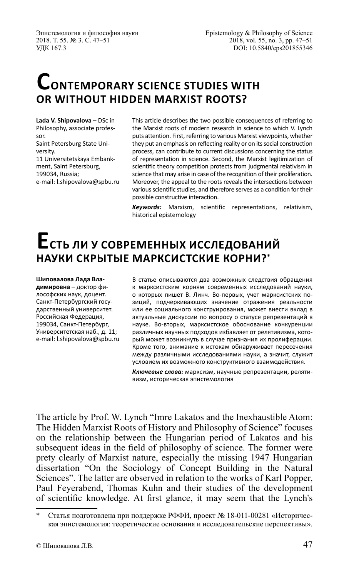Эпистемология и философия науки 2018. Т. 55. № 3. С. 47–51 УДК 167.3

# **CONTEMPORARY SCIENCE STUDIES WITH OR WITHOUT HIDDEN MARXIST ROOTS?**

**Lada V. Shipovalova** – DSc in Philosophy, associate professor. Saint Petersburg State University. 11 Universitetskaya Embankment, Saint Petersburg, 199034, Russia; e-mail: l.shipovalova@spbu.ru

This article describes the two possible consequences of referring to the Marxist roots of modern research in science to which V. Lynch puts attention. First, referring to various Marxist viewpoints, whether they put an emphasis on reflecting reality or on its social construction process, can contribute to current discussions concerning the status of representation in science. Second, the Marxist legitimization of scientific theory competition protects from judgmental relativism in science that may arise in case of the recognition of their proliferation. Moreover, the appeal to the roots reveals the intersections between various scientific studies, and therefore serves as a condition for their possible constructive interaction.

*Keywords:* Marxism, scientific representations, relativism, historical epistemology

## **Есть ли у современных исследований НАУКИ СКРЫТЫЕ МАРКСИСТСКИЕ КОРНИ?**\*

**Шиповалова Лада Владимировна** – доктор философских наук, доцент. Санкт-Петербургский государственный университет. Российская Федерация, 199034, Санкт-Петербург, Университетская наб., д. 11; e-mail: l.shipovalova@spbu.ru В статье описываются два возможных следствия обращения к марксистским корням современных исследований науки, о которых пишет В. Линч. Во-первых, учет марксистских позиций, подчеркивающих значение отражения реальности или ее социального конструирования, может внести вклад в актуальные дискуссии по вопросу о статусе репрезентаций в науке. Во-вторых, марксистское обоснование конкуренции различных научных подходов избавляет от релятивизма, который может возникнуть в случае признания их пролиферации. Кроме того, внимание к истокам обнаруживает пересечения между различными исследованиями науки, а значит, служит условием их возможного конструктивного взаимодействия.

*Ключевые слова:* марксизм, научные репрезентации, релятивизм, историческая эпистемология

The article by Prof. W. Lynch "Imre Lakatos and the Inexhaustible Atom: The Hidden Marxist Roots of History and Philosophy of Science" focuses on the relationship between the Hungarian period of Lakatos and his subsequent ideas in the feld of philosophy of science. The former were prety clearly of Marxist nature, especially the missing 1947 Hungarian dissertation "On the Sociology of Concept Building in the Natural Sciences". The latter are observed in relation to the works of Karl Popper, Paul Feyerabend, Thomas Kuhn and their studies of the development of scientifc knowledge. At frst glance, it may seem that the Lynch's

Статья подготовлена при поддержке РФФИ, проект № 18-011-00281 «Историческая эпистемология: теоретические основания и исследовательские перспективы».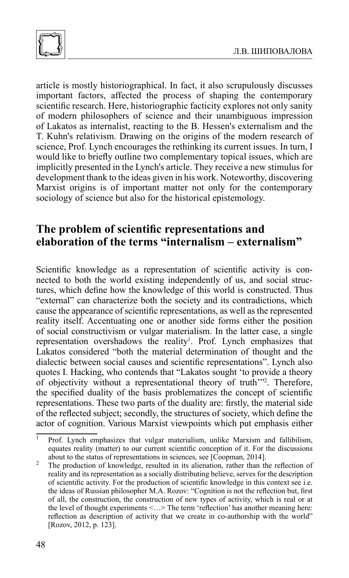

article is mostly historiographical. In fact, it also scrupulously discusses important factors, affected the process of shaping the contemporary scientific research. Here, historiographic facticity explores not only sanity of modern philosophers of science and their unambiguous impression of Lakatos as internalist, reacting to the B. Hessen's externalism and the T. Kuhn's relativism. Drawing on the origins of the modern research of science, Prof. Lynch encourages the rethinking its current issues. In turn, I would like to briefy outline two complementary topical issues, which are implicitly presented in the Lynch's article. They receive a new stimulus for development thank to the ideas given in his work. Noteworthy, discovering Marxist origins is of important matter not only for the contemporary sociology of science but also for the historical epistemology.

### **The problem of scientifc representations and elaboration of the terms "internalism – externalism"**

Scientific knowledge as a representation of scientific activity is connected to both the world existing independently of us, and social structures, which defne how the knowledge of this world is constructed. Thus "external" can characterize both the society and its contradictions, which cause the appearance of scientifc representations, as well as the represented reality itself. Accentuating one or another side forms either the position of social constructivism or vulgar materialism. In the latter case, a single representation overshadows the reality<sup>1</sup>. Prof. Lynch emphasizes that Lakatos considered "both the material determination of thought and the dialectic between social causes and scientifc representations". Lynch also quotes I. Hacking, who contends that "Lakatos sought 'to provide a theory of objectivity without a representational theory of truth'"2 . Therefore, the specifed duality of the basis problematizes the concept of scientifc representations. These two parts of the duality are: frstly, the material side of the refected subject; secondly, the structures of society, which defne the actor of cognition. Various Marxist viewpoints which put emphasis either

 $\overline{1}$  Prof. Lynch emphasizes that vulgar materialism, unlike Marxism and fallibilism, equates reality (matter) to our current scientifc conception of it. For the discussions about to the status of representations in sciences, see [Coopman, 2014]. <sup>2</sup> The production of knowledge, resulted in its alienation, rather than the refection of

reality and its representation as a socially distributing believe, serves for the description of scientifc activity. For the production of scientifc knowledge in this context see i.e. the ideas of Russian philosopher M.A. Rozov: "Cognition is not the refection but, frst of all, the construction, the construction of new types of activity, which is real or at the level of thought experiments <…> The term 'refection' has another meaning here: refection as description of activity that we create in co-authorship with the world" [Rozov, 2012, p. 123].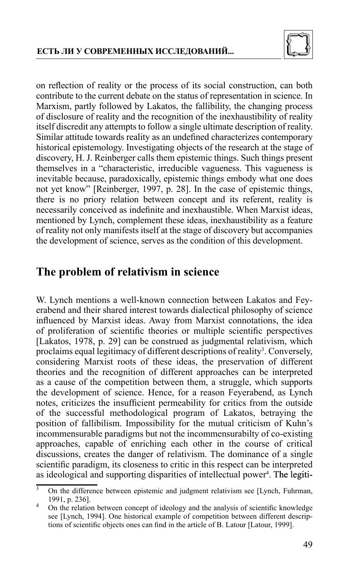

on refection of reality or the process of its social construction, can both contribute to the current debate on the status of representation in science. In Marxism, partly followed by Lakatos, the fallibility, the changing process of disclosure of reality and the recognition of the inexhaustibility of reality itself discredit any attempts to follow a single ultimate description of reality. Similar attitude towards reality as an undefined characterizes contemporary historical epistemology. Investigating objects of the research at the stage of discovery, H. J. Reinberger calls them epistemic things. Such things present themselves in a "characteristic, irreducible vagueness. This vagueness is inevitable because, paradoxically, epistemic things embody what one does not yet know" [Reinberger, 1997, p. 28]. In the case of epistemic things, there is no priory relation between concept and its referent, reality is necessarily conceived as indefnite and inexhaustible. When Marxist ideas, mentioned by Lynch, complement these ideas, inexhaustibility as a feature of reality not only manifests itself at the stage of discovery but accompanies the development of science, serves as the condition of this development.

### **The problem of relativism in science**

W. Lynch mentions a well-known connection between Lakatos and Feyerabend and their shared interest towards dialectical philosophy of science infuenced by Marxist ideas. Away from Marxist connotations, the idea of proliferation of scientifc theories or multiple scientifc perspectives [Lakatos, 1978, p. 29] can be construed as judgmental relativism, which proclaims equal legitimacy of different descriptions of reality<sup>3</sup>. Conversely, considering Marxist roots of these ideas, the preservation of different theories and the recognition of different approaches can be interpreted as a cause of the competition between them, a struggle, which supports the development of science. Hence, for a reason Feyerabend, as Lynch notes, criticizes the insuffcient permeability for critics from the outside of the successful methodological program of Lakatos, betraying the position of fallibilism. Impossibility for the mutual criticism of Kuhn's incommensurable paradigms but not the incommensurabilty of co-existing approaches, capable of enriching each other in the course of critical discussions, creates the danger of relativism. The dominance of a single scientifc paradigm, its closeness to critic in this respect can be interpreted as ideological and supporting disparities of intellectual power<sup>4</sup>. The legiti-

 $\overline{3}$  On the difference between epistemic and judgment relativism see [Lynch, Fuhrman, 1991, p. 236].<br>4 On the relation between concept of ideology and the analysis of scientific knowledge

see [Lynch, 1994]. One historical example of competition between different descriptions of scientifc objects ones can fnd in the article of B. Latour [Latour, 1999].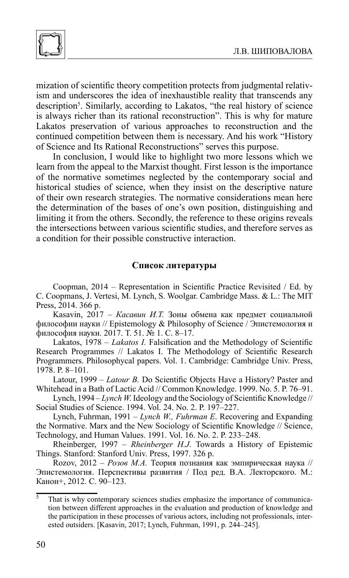

mization of scientifc theory competition protects from judgmental relativism and underscores the idea of inexhaustible reality that transcends any description<sup>5</sup>. Similarly, according to Lakatos, "the real history of science is always richer than its rational reconstruction". This is why for mature Lakatos preservation of various approaches to reconstruction and the continued competition between them is necessary. And his work "History of Science and Its Rational Reconstructions" serves this purpose.

In conclusion, I would like to highlight two more lessons which we learn from the appeal to the Marxist thought. First lesson is the importance of the normative sometimes neglected by the contemporary social and historical studies of science, when they insist on the descriptive nature of their own research strategies. The normative considerations mean here the determination of the bases of one's own position, distinguishing and limiting it from the others. Secondly, the reference to these origins reveals the intersections between various scientifc studies, and therefore serves as a condition for their possible constructive interaction.

#### **Список литературы**

Coopman, 2014 – Representation in Scientifc Practice Revisited / Ed. by C. Coopmans, J. Vertesi, M. Lynch, S. Woolgar. Cambridge Mass. & L.: The MIT Press, 2014. 366 p.

Kasavin, 2017 – *Касавин И.Т.* Зоны обмена как предмет социальной философии науки // Epistemology & Philosophy of Science / Эпистемология и философия науки. 2017. Т. 51. № 1. С. 8–17.

Lakatos, 1978 – *Lakatos I.* Falsification and the Methodology of Scientific Research Programmes // Lakatos I. The Methodology of Scientifc Research Programmers. Philosophycal papers. Vol. 1. Cambridge: Cambridge Univ. Press, 1978. P. 8–101.

Latour, 1999 – *Latour B.* Do Scientifc Objects Have a History? Paster and Whitehead in a Bath of Lactic Acid // Common Knowledge. 1999. No. 5. P. 76–91.

Lynch, 1994 – *Lynch W.* Ideology and the Sociology of Scientific Knowledge // Social Studies of Science. 1994. Vol. 24. No. 2. P. 197–227.

Lynch, Fuhrman, 1991 – *Lynch W., Fuhrman E*. Recovering and Expanding the Normative. Marx and the New Sociology of Scientifc Knowledge // Science, Technology, and Human Values. 1991. Vol. 16. No. 2. P. 233–248.

Rheinberger, 1997 – *Rheinberger H.J*. Towards a History of Epistemic Things. Stanford: Stanford Univ. Press, 1997. 326 p.

Rozov, 2012 – *Розов М.А.* Теория познания как эмпирическая наука // Эпистемология. Перспективы развития / Под ред. В.А. Лекторского. М.: Канон+, 2012. C. 90–123.

 $\frac{5}{5}$  That is why contemporary sciences studies emphasize the importance of communication between different approaches in the evaluation and production of knowledge and the participation in these processes of various actors, including not professionals, interested outsiders. [Kasavin, 2017; Lynch, Fuhrman, 1991, p. 244–245].